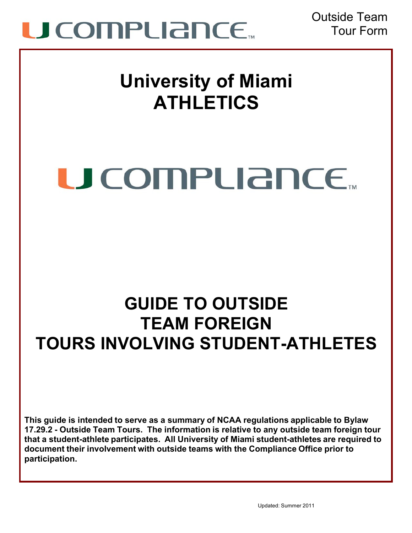

Outside Team Tour Form

### **University of Miami ATHLETICS**

# U COMPLIANCE...

### **GUIDE TO OUTSIDE TEAM FOREIGN TOURS INVOLVING STUDENT-ATHLETES**

**This guide is intended to serve as a summary of NCAA regulations applicable to Bylaw 17.29.2 - Outside Team Tours. The information is relative to any outside team foreign tour that a student-athlete participates. All University of Miami student-athletes are required to document their involvement with outside teams with the Compliance Office prior to participation.**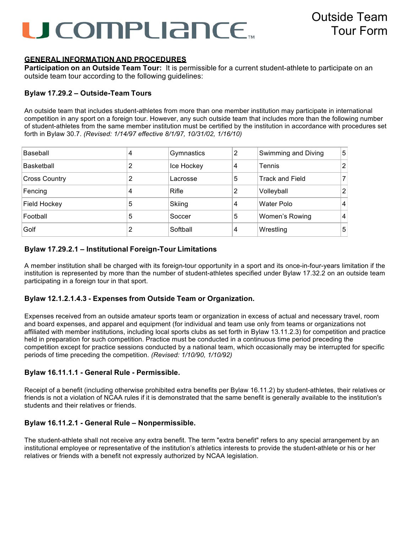## U COMPLIANCE...

#### **GENERAL INFORMATION AND PROCEDURES**

**Participation on an Outside Team Tour:** It is permissible for a current student-athlete to participate on an outside team tour according to the following guidelines:

#### **Bylaw 17.29.2 – Outside-Team Tours**

An outside team that includes student-athletes from more than one member institution may participate in international competition in any sport on a foreign tour. However, any such outside team that includes more than the following number of student-athletes from the same member institution must be certified by the institution in accordance with procedures set forth in Bylaw 30.7. *(Revised: 1/14/97 effective 8/1/97, 10/31/02, 1/16/10)*

| Baseball             | 4 | Gymnastics | 2 | Swimming and Diving    | 5              |
|----------------------|---|------------|---|------------------------|----------------|
| <b>Basketball</b>    | 2 | Ice Hockey | 4 | Tennis                 | 2              |
| <b>Cross Country</b> | 2 | Lacrosse   | 5 | <b>Track and Field</b> | 7              |
| Fencing              | 4 | Rifle      | 2 | Volleyball             | $\overline{2}$ |
| <b>Field Hockey</b>  | 5 | Skiing     | 4 | Water Polo             | 14             |
| Football             | 5 | Soccer     | 5 | Women's Rowing         | 14             |
| Golf                 | 2 | Softball   | 4 | Wrestling              | 5              |

#### **Bylaw 17.29.2.1 – Institutional Foreign-Tour Limitations**

A member institution shall be charged with its foreign-tour opportunity in a sport and its once-in-four-years limitation if the institution is represented by more than the number of student-athletes specified under Bylaw 17.32.2 on an outside team participating in a foreign tour in that sport.

#### **Bylaw 12.1.2.1.4.3 - Expenses from Outside Team or Organization.**

Expenses received from an outside amateur sports team or organization in excess of actual and necessary travel, room and board expenses, and apparel and equipment (for individual and team use only from teams or organizations not affiliated with member institutions, including local sports clubs as set forth in Bylaw 13.11.2.3) for competition and practice held in preparation for such competition. Practice must be conducted in a continuous time period preceding the competition except for practice sessions conducted by a national team, which occasionally may be interrupted for specific periods of time preceding the competition. *(Revised: 1/10/90, 1/10/92)*

#### **Bylaw 16.11.1.1 - General Rule - Permissible.**

Receipt of a benefit (including otherwise prohibited extra benefits per Bylaw 16.11.2) by student-athletes, their relatives or friends is not a violation of NCAA rules if it is demonstrated that the same benefit is generally available to the institution's students and their relatives or friends.

#### **Bylaw 16.11.2.1 - General Rule – Nonpermissible.**

The student-athlete shall not receive any extra benefit. The term "extra benefit" refers to any special arrangement by an institutional employee or representative of the institution's athletics interests to provide the student-athlete or his or her relatives or friends with a benefit not expressly authorized by NCAA legislation.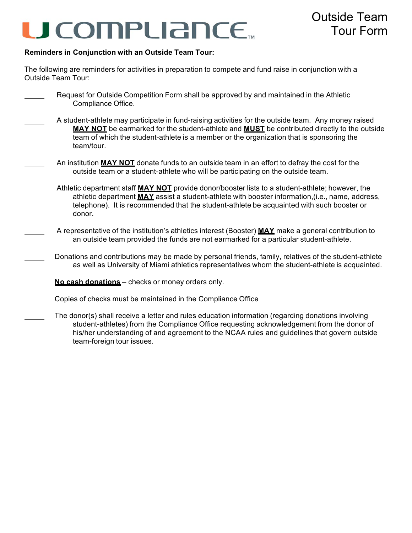# **JCOMPLIANCE**

#### **Reminders in Conjunction with an Outside Team Tour:**

The following are reminders for activities in preparation to compete and fund raise in conjunction with a Outside Team Tour:

- Request for Outside Competition Form shall be approved by and maintained in the Athletic Compliance Office.
	- A student-athlete may participate in fund-raising activities for the outside team. Any money raised **MAY NOT** be earmarked for the student-athlete and **MUST** be contributed directly to the outside team of which the student-athlete is a member or the organization that is sponsoring the team/tour.
	- An institution **MAY NOT** donate funds to an outside team in an effort to defray the cost for the outside team or a student-athlete who will be participating on the outside team.
- Athletic department staff **MAY NOT** provide donor/booster lists to a student-athlete; however, the athletic department **MAY** assist a student-athlete with booster information,(i.e., name, address, telephone). It is recommended that the student-athlete be acquainted with such booster or donor.
- A representative of the institution's athletics interest (Booster) **MAY** make a general contribution to an outside team provided the funds are not earmarked for a particular student-athlete.
- Donations and contributions may be made by personal friends, family, relatives of the student-athlete as well as University of Miami athletics representatives whom the student-athlete is acquainted.
- **No cash donations** checks or money orders only.
- Copies of checks must be maintained in the Compliance Office
- The donor(s) shall receive a letter and rules education information (regarding donations involving student-athletes) from the Compliance Office requesting acknowledgement from the donor of his/her understanding of and agreement to the NCAA rules and guidelines that govern outside team-foreign tour issues.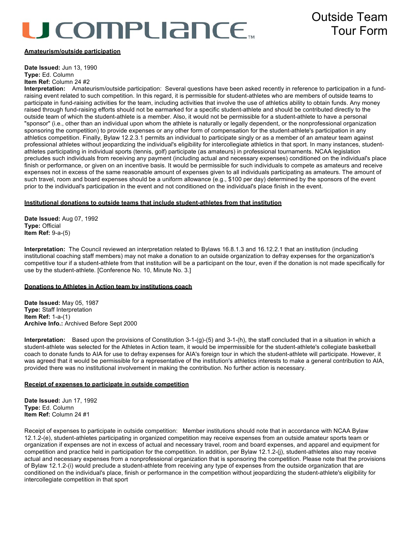# **ICOMPLIANCE.**

### Outside Team Tour Form

#### **Amateurism/outside participation**

**Date Issued:** Jun 13, 1990 **Type:** Ed. Column **Item Ref:** Column 24 #2

**Interpretation:** Amateurism/outside participation: Several questions have been asked recently in reference to participation in a fundraising event related to such competition. In this regard, it is permissible for student-athletes who are members of outside teams to participate in fund-raising activities for the team, including activities that involve the use of athletics ability to obtain funds. Any money raised through fund-raising efforts should not be earmarked for a specific student-athlete and should be contributed directly to the outside team of which the student-athlete is a member. Also, it would not be permissible for a student-athlete to have a personal "sponsor" (i.e., other than an individual upon whom the athlete is naturally or legally dependent, or the nonprofessional organization sponsoring the competition) to provide expenses or any other form of compensation for the student-athlete's participation in any athletics competition. Finally, Bylaw 12.2.3.1 permits an individual to participate singly or as a member of an amateur team against professional athletes without jeopardizing the individual's eligibility for intercollegiate athletics in that sport. In many instances, studentathletes participating in individual sports (tennis, golf) participate (as amateurs) in professional tournaments. NCAA legislation precludes such individuals from receiving any payment (including actual and necessary expenses) conditioned on the individual's place finish or performance, or given on an incentive basis. It would be permissible for such individuals to compete as amateurs and receive expenses not in excess of the same reasonable amount of expenses given to all individuals participating as amateurs. The amount of such travel, room and board expenses should be a uniform allowance (e.g., \$100 per day) determined by the sponsors of the event prior to the individual's participation in the event and not conditioned on the individual's place finish in the event.

#### **Institutional donations to outside teams that include student-athletes from that institution**

**Date Issued:** Aug 07, 1992 **Type:** Official **Item Ref:** 9-a-(5)

**Interpretation:** The Council reviewed an interpretation related to Bylaws 16.8.1.3 and 16.12.2.1 that an institution (including institutional coaching staff members) may not make a donation to an outside organization to defray expenses for the organization's competitive tour if a student-athlete from that institution will be a participant on the tour, even if the donation is not made specifically for use by the student-athlete. [Conference No. 10, Minute No. 3.]

#### **Donations to Athletes in Action team by institutions coach**

**Date Issued:** May 05, 1987 **Type:** Staff Interpretation **Item Ref:** 1-a-(1) **Archive Info.:** Archived Before Sept 2000

**Interpretation:** Based upon the provisions of Constitution 3-1-(g)-(5) and 3-1-(h), the staff concluded that in a situation in which a student-athlete was selected for the Athletes in Action team, it would be impermissible for the student-athlete's collegiate basketball coach to donate funds to AIA for use to defray expenses for AIA's foreign tour in which the student-athlete will participate. However, it was agreed that it would be permissible for a representative of the institution's athletics interests to make a general contribution to AIA, provided there was no institutional involvement in making the contribution. No further action is necessary.

#### **Receipt of expenses to participate in outside competition**

**Date Issued:** Jun 17, 1992 **Type:** Ed. Column **Item Ref:** Column 24 #1

Receipt of expenses to participate in outside competition: Member institutions should note that in accordance with NCAA Bylaw 12.1.2-(e), student-athletes participating in organized competition may receive expenses from an outside amateur sports team or organization if expenses are not in excess of actual and necessary travel, room and board expenses, and apparel and equipment for competition and practice held in participation for the competition. In addition, per Bylaw 12.1.2-(j), student-athletes also may receive actual and necessary expenses from a nonprofessional organization that is sponsoring the competition. Please note that the provisions of Bylaw 12.1.2-(i) would preclude a student-athlete from receiving any type of expenses from the outside organization that are conditioned on the individual's place, finish or performance in the competition without jeopardizing the student-athlete's eligibility for intercollegiate competition in that sport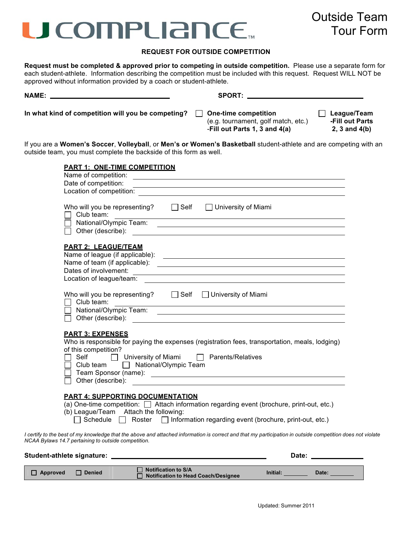### U COMPLIANCE.

### Outside Team Tour Form

#### **REQUEST FOR OUTSIDE COMPETITION**

**Request must be completed & approved prior to competing in outside competition.** Please use a separate form for each student-athlete. Information describing the competition must be included with this request. Request WILL NOT be approved without information provided by a coach or student-athlete.

|                                                                                                                                                                | SPORT:                                                                                                                                                                                                                                                                                                                                                                                                                                                                                                                               |
|----------------------------------------------------------------------------------------------------------------------------------------------------------------|--------------------------------------------------------------------------------------------------------------------------------------------------------------------------------------------------------------------------------------------------------------------------------------------------------------------------------------------------------------------------------------------------------------------------------------------------------------------------------------------------------------------------------------|
| In what kind of competition will you be competing? $\Box$ One-time competition                                                                                 | $\Box$ League/Team<br>(e.g. tournament, golf match, etc.)<br>-Fill out Parts<br>-Fill out Parts 1, 3 and 4(a)<br>$2, 3$ and $4(b)$                                                                                                                                                                                                                                                                                                                                                                                                   |
| outside team, you must complete the backside of this form as well.                                                                                             | If you are a Women's Soccer, Volleyball, or Men's or Women's Basketball student-athlete and are competing with an                                                                                                                                                                                                                                                                                                                                                                                                                    |
| <b>PART 1: ONE-TIME COMPETITION</b><br>Date of competition:                                                                                                    | <u>some started and the started and the started and the started and the started and the started and the started and the started and the started and the started and the started and the started and the started and the started </u>                                                                                                                                                                                                                                                                                                 |
| Who will you be representing?<br>Gelf Diniversity of Miami<br>Club team:<br>National/Olympic Team:                                                             | the control of the control of the control of the control of the control of the control of the control of the control of the control of the control of the control of the control of the control of the control of the control<br><u> 1980 - Johann Stoff, amerikansk politiker (d. 1980)</u><br>Other (describe): <u>example and the contract of the contract of the contract of the contract of the contract of the contract of the contract of the contract of the contract of the contract of the contract of the contract of</u> |
| <b>PART 2: LEAGUE/TEAM</b><br>Dates of involvement:<br>Location of league/team:                                                                                | <u> 1989 - Johann Barn, fransk politik (d. 1989)</u><br>and the control of the control of the control of the control of the control of the control of the control of the                                                                                                                                                                                                                                                                                                                                                             |
| Who will you be representing? $\Box$ Self $\Box$ University of Miami<br>$\Box$ Club team:<br>National/Olympic Team:<br>Other (describe):                       | <u> 1989 - Johann Stoff, deutscher Stoff, der Stoff, der Stoff, der Stoff, der Stoff, der Stoff, der Stoff, der S</u><br><u> 1989 - Johann Stoff, amerikansk politiker (d. 1989)</u><br><u> 1980 - Andrea Andrew Maria (h. 1980).</u>                                                                                                                                                                                                                                                                                                |
| <b>PART 3: EXPENSES</b><br>of this competition?<br>□ University of Miami □ Parents/Relatives<br>Self<br>Club team   National/Olympic Team<br>Other (describe): | Who is responsible for paying the expenses (registration fees, transportation, meals, lodging)                                                                                                                                                                                                                                                                                                                                                                                                                                       |
| <b>PART 4: SUPPORTING DOCUMENTATION</b><br>(b) League/Team<br>Attach the following:<br>Schedule<br>Roster                                                      | (a) One-time competition: $\Box$ Attach information regarding event (brochure, print-out, etc.)<br>Information regarding event (brochure, print-out, etc.)                                                                                                                                                                                                                                                                                                                                                                           |
| NCAA Bylaws 14.7 pertaining to outside competition.                                                                                                            | I certify to the best of my knowledge that the above and attached information is correct and that my participation in outside competition does not violate                                                                                                                                                                                                                                                                                                                                                                           |

| Student-athlete signature: |               |                                                                   | Date:    |       |
|----------------------------|---------------|-------------------------------------------------------------------|----------|-------|
| $\Box$ Approved            | <b>Denied</b> | $\Box$ Notification to S/A<br>Notification to Head Coach/Designee | Initial: | Date: |